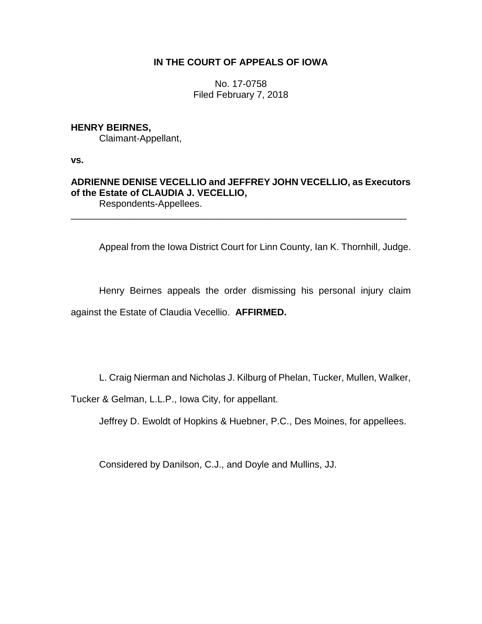# **IN THE COURT OF APPEALS OF IOWA**

No. 17-0758 Filed February 7, 2018

# **HENRY BEIRNES,**

Claimant-Appellant,

**vs.**

# **ADRIENNE DENISE VECELLIO and JEFFREY JOHN VECELLIO, as Executors of the Estate of CLAUDIA J. VECELLIO,** Respondents-Appellees.

\_\_\_\_\_\_\_\_\_\_\_\_\_\_\_\_\_\_\_\_\_\_\_\_\_\_\_\_\_\_\_\_\_\_\_\_\_\_\_\_\_\_\_\_\_\_\_\_\_\_\_\_\_\_\_\_\_\_\_\_\_\_\_\_

Appeal from the Iowa District Court for Linn County, Ian K. Thornhill, Judge.

Henry Beirnes appeals the order dismissing his personal injury claim against the Estate of Claudia Vecellio. **AFFIRMED.**

L. Craig Nierman and Nicholas J. Kilburg of Phelan, Tucker, Mullen, Walker,

Tucker & Gelman, L.L.P., Iowa City, for appellant.

Jeffrey D. Ewoldt of Hopkins & Huebner, P.C., Des Moines, for appellees.

Considered by Danilson, C.J., and Doyle and Mullins, JJ.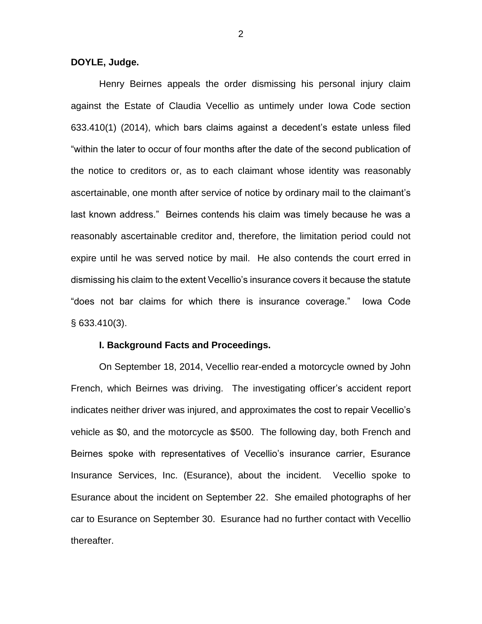### **DOYLE, Judge.**

Henry Beirnes appeals the order dismissing his personal injury claim against the Estate of Claudia Vecellio as untimely under Iowa Code section 633.410(1) (2014), which bars claims against a decedent's estate unless filed "within the later to occur of four months after the date of the second publication of the notice to creditors or, as to each claimant whose identity was reasonably ascertainable, one month after service of notice by ordinary mail to the claimant's last known address." Beirnes contends his claim was timely because he was a reasonably ascertainable creditor and, therefore, the limitation period could not expire until he was served notice by mail. He also contends the court erred in dismissing his claim to the extent Vecellio's insurance covers it because the statute "does not bar claims for which there is insurance coverage." Iowa Code § 633.410(3).

### **I. Background Facts and Proceedings.**

On September 18, 2014, Vecellio rear-ended a motorcycle owned by John French, which Beirnes was driving. The investigating officer's accident report indicates neither driver was injured, and approximates the cost to repair Vecellio's vehicle as \$0, and the motorcycle as \$500. The following day, both French and Beirnes spoke with representatives of Vecellio's insurance carrier, Esurance Insurance Services, Inc. (Esurance), about the incident. Vecellio spoke to Esurance about the incident on September 22. She emailed photographs of her car to Esurance on September 30. Esurance had no further contact with Vecellio thereafter.

2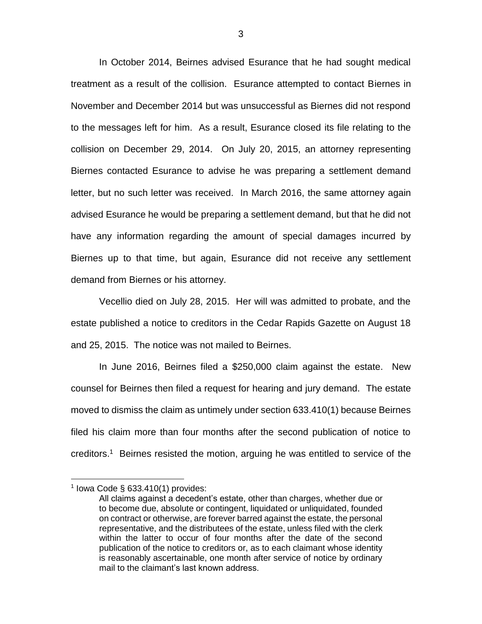In October 2014, Beirnes advised Esurance that he had sought medical treatment as a result of the collision. Esurance attempted to contact Biernes in November and December 2014 but was unsuccessful as Biernes did not respond to the messages left for him. As a result, Esurance closed its file relating to the collision on December 29, 2014. On July 20, 2015, an attorney representing Biernes contacted Esurance to advise he was preparing a settlement demand letter, but no such letter was received. In March 2016, the same attorney again advised Esurance he would be preparing a settlement demand, but that he did not have any information regarding the amount of special damages incurred by Biernes up to that time, but again, Esurance did not receive any settlement demand from Biernes or his attorney.

Vecellio died on July 28, 2015. Her will was admitted to probate, and the estate published a notice to creditors in the Cedar Rapids Gazette on August 18 and 25, 2015. The notice was not mailed to Beirnes.

In June 2016, Beirnes filed a \$250,000 claim against the estate. New counsel for Beirnes then filed a request for hearing and jury demand. The estate moved to dismiss the claim as untimely under section 633.410(1) because Beirnes filed his claim more than four months after the second publication of notice to creditors.<sup>1</sup> Beirnes resisted the motion, arguing he was entitled to service of the

 $\overline{a}$ 

 $1$  lowa Code § 633.410(1) provides:

All claims against a decedent's estate, other than charges, whether due or to become due, absolute or contingent, liquidated or unliquidated, founded on contract or otherwise, are forever barred against the estate, the personal representative, and the distributees of the estate, unless filed with the clerk within the latter to occur of four months after the date of the second publication of the notice to creditors or, as to each claimant whose identity is reasonably ascertainable, one month after service of notice by ordinary mail to the claimant's last known address.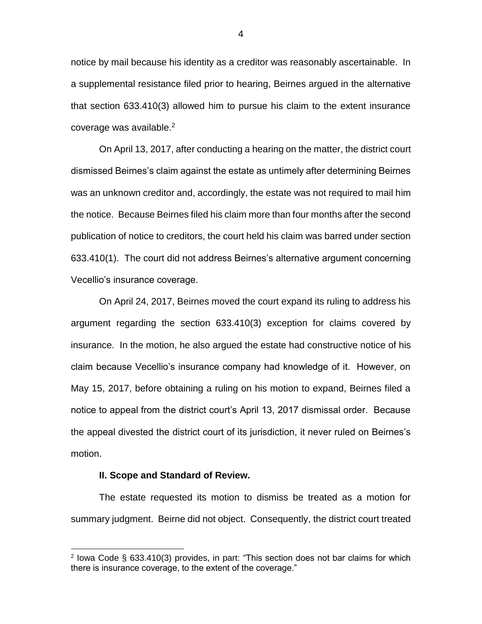notice by mail because his identity as a creditor was reasonably ascertainable. In a supplemental resistance filed prior to hearing, Beirnes argued in the alternative that section 633.410(3) allowed him to pursue his claim to the extent insurance coverage was available. $2$ 

On April 13, 2017, after conducting a hearing on the matter, the district court dismissed Beirnes's claim against the estate as untimely after determining Beirnes was an unknown creditor and, accordingly, the estate was not required to mail him the notice. Because Beirnes filed his claim more than four months after the second publication of notice to creditors, the court held his claim was barred under section 633.410(1). The court did not address Beirnes's alternative argument concerning Vecellio's insurance coverage.

On April 24, 2017, Beirnes moved the court expand its ruling to address his argument regarding the section 633.410(3) exception for claims covered by insurance. In the motion, he also argued the estate had constructive notice of his claim because Vecellio's insurance company had knowledge of it. However, on May 15, 2017, before obtaining a ruling on his motion to expand, Beirnes filed a notice to appeal from the district court's April 13, 2017 dismissal order. Because the appeal divested the district court of its jurisdiction, it never ruled on Beirnes's motion.

### **II. Scope and Standard of Review.**

 $\overline{a}$ 

The estate requested its motion to dismiss be treated as a motion for summary judgment. Beirne did not object. Consequently, the district court treated

<sup>&</sup>lt;sup>2</sup> lowa Code § 633.410(3) provides, in part: "This section does not bar claims for which there is insurance coverage, to the extent of the coverage."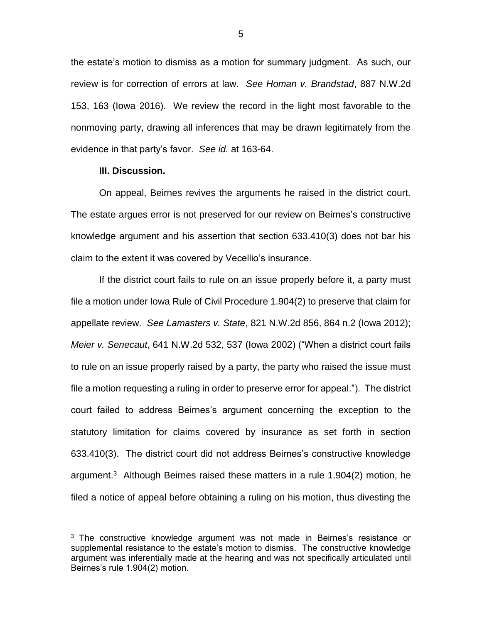the estate's motion to dismiss as a motion for summary judgment. As such, our review is for correction of errors at law. *See Homan v. Brandstad*, 887 N.W.2d 153, 163 (Iowa 2016). We review the record in the light most favorable to the nonmoving party, drawing all inferences that may be drawn legitimately from the evidence in that party's favor. *See id.* at 163-64.

### **III. Discussion.**

 $\overline{a}$ 

On appeal, Beirnes revives the arguments he raised in the district court. The estate argues error is not preserved for our review on Beirnes's constructive knowledge argument and his assertion that section 633.410(3) does not bar his claim to the extent it was covered by Vecellio's insurance.

If the district court fails to rule on an issue properly before it, a party must file a motion under Iowa Rule of Civil Procedure 1.904(2) to preserve that claim for appellate review. *See Lamasters v. State*, 821 N.W.2d 856, 864 n.2 (Iowa 2012); *Meier v. Senecaut*, 641 N.W.2d 532, 537 (Iowa 2002) ("When a district court fails to rule on an issue properly raised by a party, the party who raised the issue must file a motion requesting a ruling in order to preserve error for appeal."). The district court failed to address Beirnes's argument concerning the exception to the statutory limitation for claims covered by insurance as set forth in section 633.410(3). The district court did not address Beirnes's constructive knowledge argument.<sup>3</sup> Although Beirnes raised these matters in a rule 1.904(2) motion, he filed a notice of appeal before obtaining a ruling on his motion, thus divesting the

<sup>&</sup>lt;sup>3</sup> The constructive knowledge argument was not made in Beirnes's resistance or supplemental resistance to the estate's motion to dismiss. The constructive knowledge argument was inferentially made at the hearing and was not specifically articulated until Beirnes's rule 1.904(2) motion.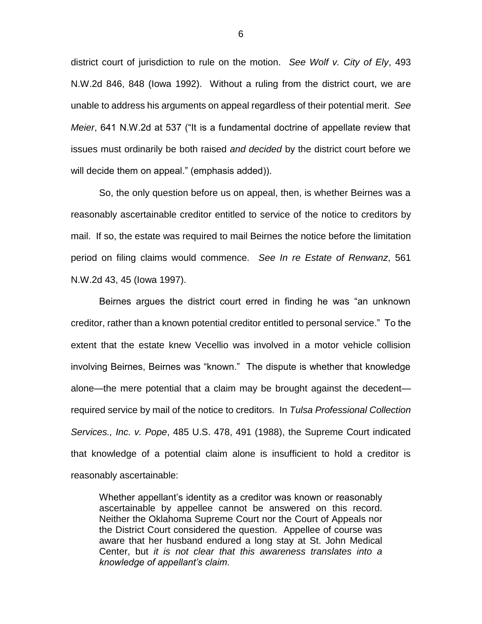district court of jurisdiction to rule on the motion. *See Wolf v. City of Ely*, 493 N.W.2d 846, 848 (Iowa 1992). Without a ruling from the district court, we are unable to address his arguments on appeal regardless of their potential merit. *See Meier*, 641 N.W.2d at 537 ("It is a fundamental doctrine of appellate review that issues must ordinarily be both raised *and decided* by the district court before we will decide them on appeal." (emphasis added)).

So, the only question before us on appeal, then, is whether Beirnes was a reasonably ascertainable creditor entitled to service of the notice to creditors by mail. If so, the estate was required to mail Beirnes the notice before the limitation period on filing claims would commence. *See In re Estate of Renwanz*, 561 N.W.2d 43, 45 (Iowa 1997).

Beirnes argues the district court erred in finding he was "an unknown creditor, rather than a known potential creditor entitled to personal service." To the extent that the estate knew Vecellio was involved in a motor vehicle collision involving Beirnes, Beirnes was "known." The dispute is whether that knowledge alone—the mere potential that a claim may be brought against the decedent required service by mail of the notice to creditors. In *Tulsa Professional Collection Services., Inc. v. Pope*, 485 U.S. 478, 491 (1988), the Supreme Court indicated that knowledge of a potential claim alone is insufficient to hold a creditor is reasonably ascertainable:

Whether appellant's identity as a creditor was known or reasonably ascertainable by appellee cannot be answered on this record. Neither the Oklahoma Supreme Court nor the Court of Appeals nor the District Court considered the question. Appellee of course was aware that her husband endured a long stay at St. John Medical Center, but *it is not clear that this awareness translates into a knowledge of appellant's claim*.

6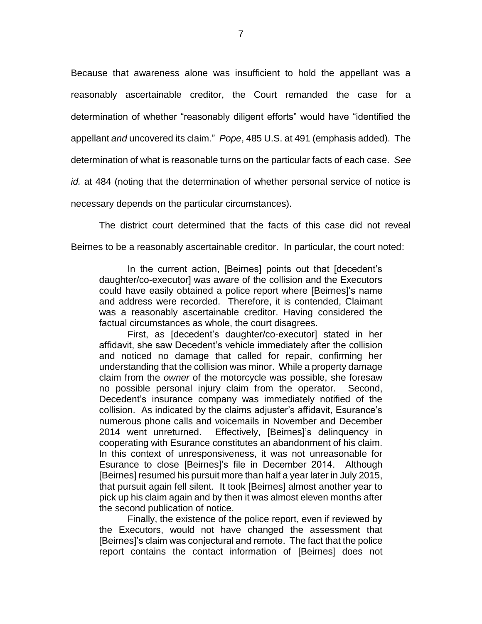Because that awareness alone was insufficient to hold the appellant was a reasonably ascertainable creditor, the Court remanded the case for a determination of whether "reasonably diligent efforts" would have "identified the appellant *and* uncovered its claim." *Pope*, 485 U.S. at 491 (emphasis added). The determination of what is reasonable turns on the particular facts of each case. *See id.* at 484 (noting that the determination of whether personal service of notice is necessary depends on the particular circumstances).

The district court determined that the facts of this case did not reveal Beirnes to be a reasonably ascertainable creditor. In particular, the court noted:

In the current action, [Beirnes] points out that [decedent's daughter/co-executor] was aware of the collision and the Executors could have easily obtained a police report where [Beirnes]'s name and address were recorded. Therefore, it is contended, Claimant was a reasonably ascertainable creditor. Having considered the factual circumstances as whole, the court disagrees.

First, as [decedent's daughter/co-executor] stated in her affidavit, she saw Decedent's vehicle immediately after the collision and noticed no damage that called for repair, confirming her understanding that the collision was minor. While a property damage claim from the *owner* of the motorcycle was possible, she foresaw no possible personal injury claim from the operator. Second, Decedent's insurance company was immediately notified of the collision. As indicated by the claims adjuster's affidavit, Esurance's numerous phone calls and voicemails in November and December 2014 went unreturned. Effectively, [Beirnes]'s delinquency in cooperating with Esurance constitutes an abandonment of his claim. In this context of unresponsiveness, it was not unreasonable for Esurance to close [Beirnes]'s file in December 2014. Although [Beirnes] resumed his pursuit more than half a year later in July 2015, that pursuit again fell silent. It took [Beirnes] almost another year to pick up his claim again and by then it was almost eleven months after the second publication of notice.

Finally, the existence of the police report, even if reviewed by the Executors, would not have changed the assessment that [Beirnes]'s claim was conjectural and remote. The fact that the police report contains the contact information of [Beirnes] does not